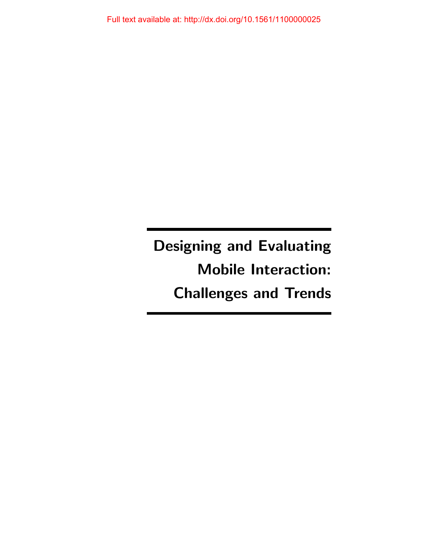Designing and Evaluating Mobile Interaction: Challenges and Trends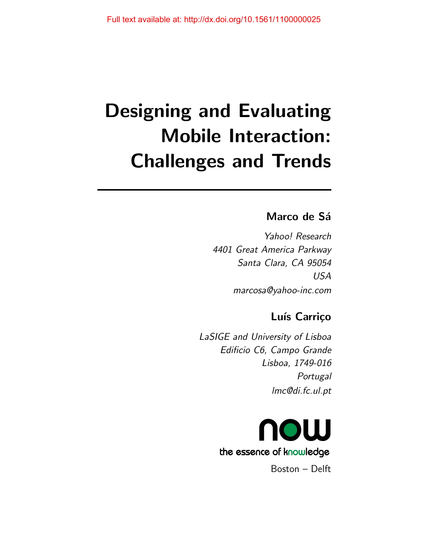# Designing and Evaluating Mobile Interaction: Challenges and Trends

# Marco de Sá

Yahoo! Research 4401 Great America Parkway Santa Clara, CA 95054 USA marcosa@yahoo-inc.com

# Luís Carriço

LaSIGE and University of Lisboa Edificio C6, Campo Grande Lisboa, 1749-016 **Portugal** lmc@di.fc.ul.pt



Boston – Delft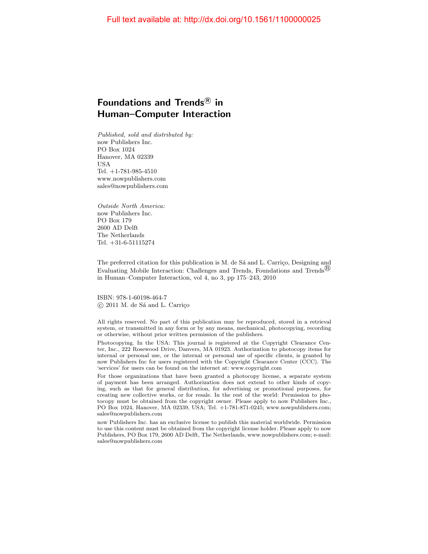### Foundations and Trends ${}^{\text{\textregistered}}$  in Human–Computer Interaction

Published, sold and distributed by: now Publishers Inc. PO Box 1024 Hanover, MA 02339 USA Tel. +1-781-985-4510 www.nowpublishers.com sales@nowpublishers.com

Outside North America: now Publishers Inc. PO Box 179 2600 AD Delft The Netherlands Tel. +31-6-51115274

The preferred citation for this publication is M. de Sa and L. Carriço, Designing and Evaluating Mobile Interaction: Challenges and Trends, Foundations and Trends<sup>(6)</sup> in Human–Computer Interaction, vol 4, no 3, pp 175–243, 2010

ISBN: 978-1-60198-464-7  $\circ$  2011 M. de Sá and L. Carrico

All rights reserved. No part of this publication may be reproduced, stored in a retrieval system, or transmitted in any form or by any means, mechanical, photocopying, recording or otherwise, without prior written permission of the publishers.

Photocopying. In the USA: This journal is registered at the Copyright Clearance Center, Inc., 222 Rosewood Drive, Danvers, MA 01923. Authorization to photocopy items for internal or personal use, or the internal or personal use of specific clients, is granted by now Publishers Inc for users registered with the Copyright Clearance Center (CCC). The 'services' for users can be found on the internet at: www.copyright.com

For those organizations that have been granted a photocopy license, a separate system of payment has been arranged. Authorization does not extend to other kinds of copying, such as that for general distribution, for advertising or promotional purposes, for creating new collective works, or for resale. In the rest of the world: Permission to photocopy must be obtained from the copyright owner. Please apply to now Publishers Inc., PO Box 1024, Hanover, MA 02339, USA; Tel. +1-781-871-0245; www.nowpublishers.com; sales@nowpublishers.com

now Publishers Inc. has an exclusive license to publish this material worldwide. Permission to use this content must be obtained from the copyright license holder. Please apply to now Publishers, PO Box 179, 2600 AD Delft, The Netherlands, www.nowpublishers.com; e-mail: sales@nowpublishers.com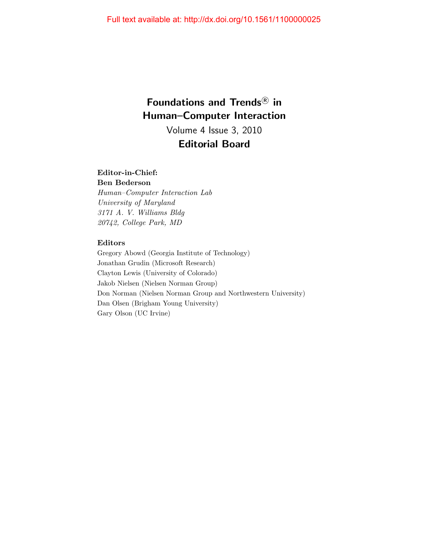# Foundations and Trends<sup>®</sup> in Human–Computer Interaction Volume 4 Issue 3, 2010

### Editorial Board

### Editor-in-Chief:

Ben Bederson Human–Computer Interaction Lab University of Maryland 3171 A. V. Williams Bldg 20742, College Park, MD

### Editors

Gregory Abowd (Georgia Institute of Technology) Jonathan Grudin (Microsoft Research) Clayton Lewis (University of Colorado) Jakob Nielsen (Nielsen Norman Group) Don Norman (Nielsen Norman Group and Northwestern University) Dan Olsen (Brigham Young University) Gary Olson (UC Irvine)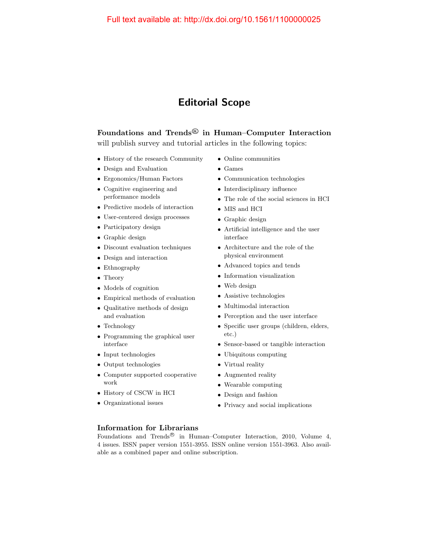### Editorial Scope

### Foundations and Trends $^{\circledR}$  in Human–Computer Interaction will publish survey and tutorial articles in the following topics:

- History of the research Community
- Design and Evaluation
- Ergonomics/Human Factors
- Cognitive engineering and performance models
- Predictive models of interaction
- User-centered design processes
- Participatory design
- Graphic design
- Discount evaluation techniques
- Design and interaction
- Ethnography
- Theory
- Models of cognition
- Empirical methods of evaluation
- Qualitative methods of design and evaluation
- Technology
- Programming the graphical user interface
- Input technologies
- Output technologies
- Computer supported cooperative work
- History of CSCW in HCI
- Organizational issues
- Online communities
- Games
- Communication technologies
- Interdisciplinary influence
- The role of the social sciences in HCI
- MIS and HCI
- Graphic design
- Artificial intelligence and the user interface
- Architecture and the role of the physical environment
- Advanced topics and tends
- Information visualization
- Web design
- Assistive technologies
- Multimodal interaction
- Perception and the user interface
- Specific user groups (children, elders, etc.)
- Sensor-based or tangible interaction
- Ubiquitous computing
- Virtual reality
- Augmented reality
- Wearable computing
- Design and fashion
- Privacy and social implications

### Information for Librarians

Foundations and Trends<sup>®</sup> in Human–Computer Interaction, 2010, Volume 4, 4 issues. ISSN paper version 1551-3955. ISSN online version 1551-3963. Also available as a combined paper and online subscription.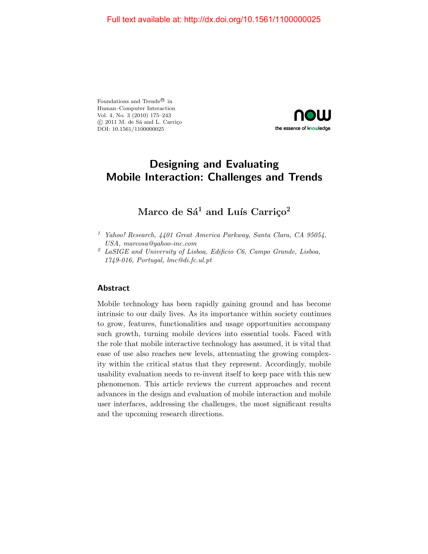Foundations and Trends $^\text{\textregistered}$  in Human–Computer Interaction Vol. 4, No. 3 (2010) 175–243  $\circ$  2011 M. de Sá and L. Carrico DOI: 10.1561/1100000025



# Designing and Evaluating Mobile Interaction: Challenges and Trends

### Marco de  $Sá<sup>1</sup>$  and Luís Carriço<sup>2</sup>

### Abstract

Mobile technology has been rapidly gaining ground and has become intrinsic to our daily lives. As its importance within society continues to grow, features, functionalities and usage opportunities accompany such growth, turning mobile devices into essential tools. Faced with the role that mobile interactive technology has assumed, it is vital that ease of use also reaches new levels, attenuating the growing complexity within the critical status that they represent. Accordingly, mobile usability evaluation needs to re-invent itself to keep pace with this new phenomenon. This article reviews the current approaches and recent advances in the design and evaluation of mobile interaction and mobile user interfaces, addressing the challenges, the most significant results and the upcoming research directions.

<sup>&</sup>lt;sup>1</sup> Yahoo! Research,  $4401$  Great America Parkway, Santa Clara, CA 95054, USA, marcosa@yahoo-inc.com

 $2$  LaSIGE and University of Lisboa, Edificio C6, Campo Grande, Lisboa, 1749-016, Portugal, lmc@di.fc.ul.pt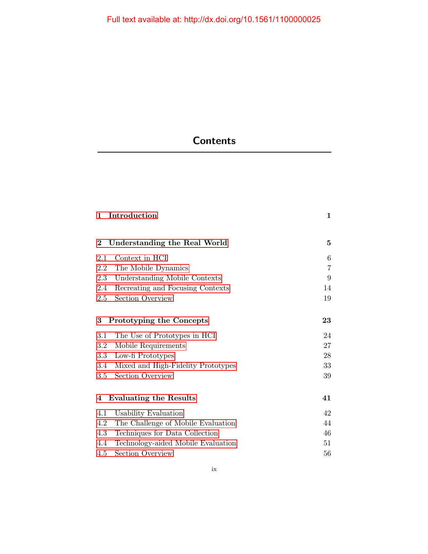# **Contents**

| 1                             | Introduction                       | $\mathbf{1}$   |
|-------------------------------|------------------------------------|----------------|
| $\bf{2}$                      | Understanding the Real World       | 5              |
| 2.1                           | Context in HCI                     | 6              |
| 2.2                           | The Mobile Dynamics                | $\overline{7}$ |
| 2.3                           | Understanding Mobile Contexts      | 9              |
| 2.4                           | Recreating and Focusing Contexts   | 14             |
| 2.5                           | Section Overview                   | 19             |
| 3<br>Prototyping the Concepts |                                    | 23             |
| 3.1                           | The Use of Prototypes in HCI       | 24             |
| 3.2                           | Mobile Requirements                | 27             |
| 3.3                           | Low-fi Prototypes                  | 28             |
| 3.4                           | Mixed and High-Fidelity Prototypes | 33             |
| 3.5                           | Section Overview                   | 39             |
| 4                             | <b>Evaluating the Results</b>      | 41             |
| 4.1                           | Usability Evaluation               | 42             |
| 4.2                           | The Challenge of Mobile Evaluation | 44             |
| 4.3                           | Techniques for Data Collection     | 46             |
| 4.4                           | Technology-aided Mobile Evaluation | 51             |
| 4.5                           | Section Overview                   | 56             |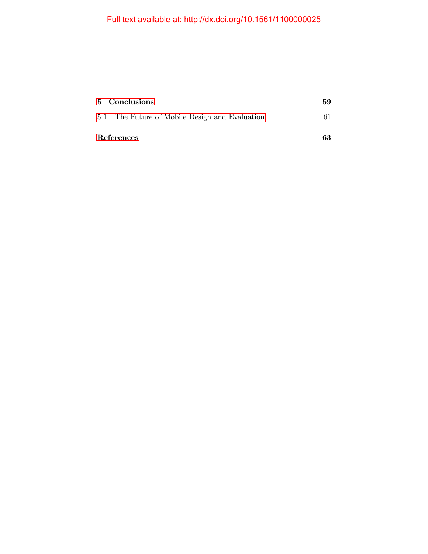| 5 Conclusions                                  | 59 |
|------------------------------------------------|----|
| 5.1 The Future of Mobile Design and Evaluation |    |
| References                                     | 63 |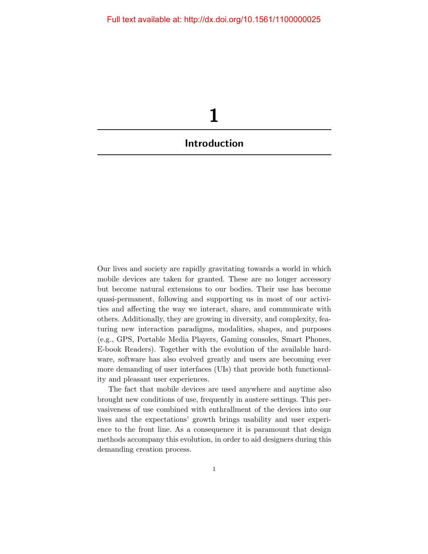<span id="page-8-0"></span>

Our lives and society are rapidly gravitating towards a world in which mobile devices are taken for granted. These are no longer accessory but become natural extensions to our bodies. Their use has become quasi-permanent, following and supporting us in most of our activities and affecting the way we interact, share, and communicate with others. Additionally, they are growing in diversity, and complexity, featuring new interaction paradigms, modalities, shapes, and purposes (e.g., GPS, Portable Media Players, Gaming consoles, Smart Phones, E-book Readers). Together with the evolution of the available hardware, software has also evolved greatly and users are becoming ever more demanding of user interfaces (UIs) that provide both functionality and pleasant user experiences.

The fact that mobile devices are used anywhere and anytime also brought new conditions of use, frequently in austere settings. This pervasiveness of use combined with enthrallment of the devices into our lives and the expectations' growth brings usability and user experience to the front line. As a consequence it is paramount that design methods accompany this evolution, in order to aid designers during this demanding creation process.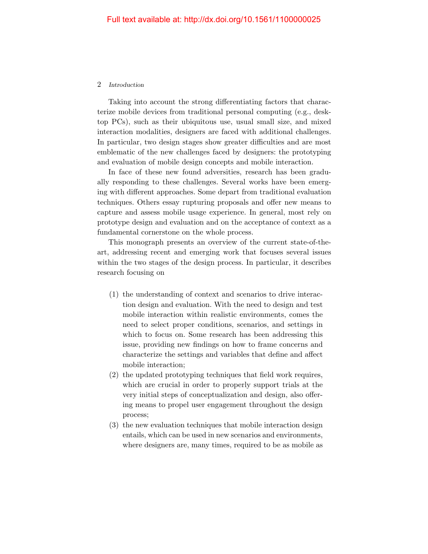### 2 Introduction

Taking into account the strong differentiating factors that characterize mobile devices from traditional personal computing (e.g., desktop PCs), such as their ubiquitous use, usual small size, and mixed interaction modalities, designers are faced with additional challenges. In particular, two design stages show greater difficulties and are most emblematic of the new challenges faced by designers: the prototyping and evaluation of mobile design concepts and mobile interaction.

In face of these new found adversities, research has been gradually responding to these challenges. Several works have been emerging with different approaches. Some depart from traditional evaluation techniques. Others essay rupturing proposals and offer new means to capture and assess mobile usage experience. In general, most rely on prototype design and evaluation and on the acceptance of context as a fundamental cornerstone on the whole process.

This monograph presents an overview of the current state-of-theart, addressing recent and emerging work that focuses several issues within the two stages of the design process. In particular, it describes research focusing on

- (1) the understanding of context and scenarios to drive interaction design and evaluation. With the need to design and test mobile interaction within realistic environments, comes the need to select proper conditions, scenarios, and settings in which to focus on. Some research has been addressing this issue, providing new findings on how to frame concerns and characterize the settings and variables that define and affect mobile interaction;
- (2) the updated prototyping techniques that field work requires, which are crucial in order to properly support trials at the very initial steps of conceptualization and design, also offering means to propel user engagement throughout the design process;
- (3) the new evaluation techniques that mobile interaction design entails, which can be used in new scenarios and environments, where designers are, many times, required to be as mobile as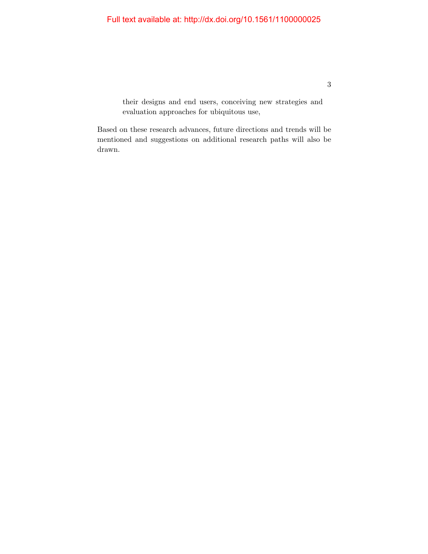their designs and end users, conceiving new strategies and evaluation approaches for ubiquitous use,

Based on these research advances, future directions and trends will be mentioned and suggestions on additional research paths will also be drawn.

3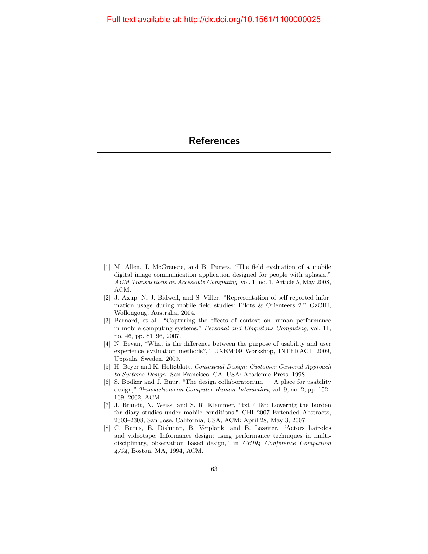- <span id="page-11-0"></span>[1] M. Allen, J. McGrenere, and B. Purves, "The field evaluation of a mobile digital image communication application designed for people with aphasia," ACM Transactions on Accessible Computing, vol. 1, no. 1, Article 5, May 2008, ACM.
- [2] J. Axup, N. J. Bidwell, and S. Viller, "Representation of self-reported information usage during mobile field studies: Pilots & Orienteers 2," OzCHI, Wollongong, Australia, 2004.
- [3] Barnard, et al., "Capturing the effects of context on human performance in mobile computing systems," Personal and Ubiquitous Computing, vol. 11, no. 46, pp. 81–96, 2007.
- [4] N. Bevan, "What is the difference between the purpose of usability and user experience evaluation methods?," UXEM'09 Workshop, INTERACT 2009, Uppsala, Sweden, 2009.
- [5] H. Beyer and K. Holtzblatt, Contextual Design: Customer Centered Approach to Systems Design. San Francisco, CA, USA: Academic Press, 1998.
- [6] S. Bodker and J. Buur, "The design collaboratorium A place for usability design," Transactions on Computer Human-Interaction, vol. 9, no. 2, pp. 152– 169, 2002, ACM.
- [7] J. Brandt, N. Weiss, and S. R. Klemmer, "txt 4 l8r: Lowernig the burden for diary studies under mobile conditions," CHI 2007 Extended Abstracts, 2303–2308, San Jose, California, USA, ACM: April 28, May 3, 2007.
- [8] C. Burns, E. Dishman, B. Verplank, and B. Lassiter, "Actors hair-dos and videotape: Informance design; using performance techniques in multidisciplinary, observation based design," in CHI94 Conference Companion 4/94, Boston, MA, 1994, ACM.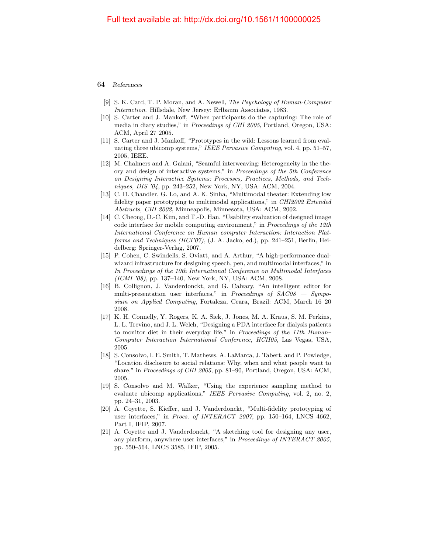- [9] S. K. Card, T. P. Moran, and A. Newell, The Psychology of Human-Computer Interaction. Hillsdale, New Jersey: Erlbaum Associates, 1983.
- [10] S. Carter and J. Mankoff, "When participants do the capturing: The role of media in diary studies," in *Proceedings of CHI 2005*, Portland, Oregon, USA: ACM, April 27 2005.
- [11] S. Carter and J. Mankoff, "Prototypes in the wild: Lessons learned from evaluating three ubicomp systems," IEEE Pervasive Computing, vol. 4, pp. 51–57, 2005, IEEE.
- [12] M. Chalmers and A. Galani, "Seamful interweaving: Heterogeneity in the theory and design of interactive systems," in Proceedings of the 5th Conference on Designing Interactive Systems: Processes, Practices, Methods, and Techniques, DIS '04, pp. 243–252, New York, NY, USA: ACM, 2004.
- [13] C. D. Chandler, G. Lo, and A. K. Sinha, "Multimodal theater: Extending low fidelity paper prototyping to multimodal applications," in CHI2002 Extended Abstracts, CHI 2002, Minneapolis, Minnesota, USA: ACM, 2002.
- [14] C. Cheong, D.-C. Kim, and T.-D. Han, "Usability evaluation of designed image code interface for mobile computing environment," in Proceedings of the 12th International Conference on Human–computer Interaction: Interaction Platforms and Techniques (HCI'07), (J. A. Jacko, ed.), pp. 241–251, Berlin, Heidelberg: Springer-Verlag, 2007.
- [15] P. Cohen, C. Swindells, S. Oviatt, and A. Arthur, "A high-performance dualwizard infrastructure for designing speech, pen, and multimodal interfaces," in In Proceedings of the 10th International Conference on Multimodal Interfaces (ICMI '08), pp. 137–140, New York, NY, USA: ACM, 2008.
- [16] B. Collignon, J. Vanderdonckt, and G. Calvary, "An intelligent editor for multi-presentation user interfaces," in Proceedings of  $SAC08 - Sympo$ sium on Applied Computing, Fortaleza, Ceara, Brazil: ACM, March 16–20 2008.
- [17] K. H. Connelly, Y. Rogers, K. A. Siek, J. Jones, M. A. Kraus, S. M. Perkins, L. L. Trevino, and J. L. Welch, "Designing a PDA interface for dialysis patients to monitor diet in their everyday life," in Proceedings of the 11th Human-Computer Interaction International Conference, HCII05, Las Vegas, USA, 2005.
- [18] S. Consolvo, I. E. Smith, T. Mathews, A. LaMarca, J. Tabert, and P. Powledge, "Location disclosure to social relations: Why, when and what people want to share," in *Proceedings of CHI 2005*, pp. 81–90, Portland, Oregon, USA: ACM, 2005.
- [19] S. Consolvo and M. Walker, "Using the experience sampling method to evaluate ubicomp applications," IEEE Pervasive Computing, vol. 2, no. 2, pp. 24–31, 2003.
- [20] A. Coyette, S. Kieffer, and J. Vanderdonckt, "Multi-fidelity prototyping of user interfaces," in *Procs. of INTERACT 2007*, pp. 150–164, LNCS 4662, Part I, IFIP, 2007.
- [21] A. Coyette and J. Vanderdonckt, "A sketching tool for designing any user, any platform, anywhere user interfaces," in Proceedings of INTERACT 2005, pp. 550–564, LNCS 3585, IFIP, 2005.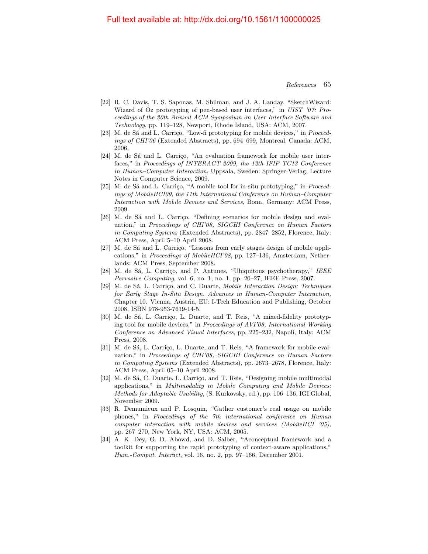- [22] R. C. Davis, T. S. Saponas, M. Shilman, and J. A. Landay, "SketchWizard: Wizard of Oz prototyping of pen-based user interfaces," in UIST '07: Proceedings of the 20th Annual ACM Symposium on User Interface Software and Technology, pp. 119–128, Newport, Rhode Island, USA: ACM, 2007.
- [23] M. de Sá and L. Carrico, "Low-fi prototyping for mobile devices," in Proceedings of CHI'06 (Extended Abstracts), pp. 694–699, Montreal, Canada: ACM, 2006.
- [24] M. de Sá and L. Carriço, "An evaluation framework for mobile user interfaces," in Proceedings of INTERACT 2009, the 12th IFIP TC13 Conference in Human–Computer Interaction, Uppsala, Sweden: Springer-Verlag, Lecture Notes in Computer Science, 2009.
- [25] M. de Sá and L. Carriço, "A mobile tool for in-situ prototyping," in  $Proceed$ ings of MobileHCI09, the 11th International Conference on Human–Computer Interaction with Mobile Devices and Services, Bonn, Germany: ACM Press, 2009.
- [26] M. de Sá and L. Carriço, "Defining scenarios for mobile design and evaluation," in Proceedings of CHI'08, SIGCHI Conference on Human Factors in Computing Systems (Extended Abstracts), pp. 2847–2852, Florence, Italy: ACM Press, April 5–10 April 2008.
- [27] M. de Sá and L. Carriço, "Lessons from early stages design of mobile applications," in Proceedings of MobileHCI'08, pp. 127–136, Amsterdam, Netherlands: ACM Press, September 2008.
- [28] M. de Sá, L. Carrico, and P. Antunes, "Ubiquitous psychotherapy,"  $IEEE$ Pervasive Computing, vol. 6, no. 1, no. 1, pp. 20–27, IEEE Press, 2007.
- [29] M. de Sá, L. Carrico, and C. Duarte, *Mobile Interaction Design: Techniques* for Early Stage In-Situ Design. Advances in Human-Computer Interaction, Chapter 10. Vienna, Austria, EU: I-Tech Education and Publishing, October 2008, ISBN 978-953-7619-14-5.
- [30] M. de Sá, L. Carriço, L. Duarte, and T. Reis, "A mixed-fidelity prototyping tool for mobile devices," in Proceedings of AVI'08, International Working Conference on Advanced Visual Interfaces, pp. 225–232, Napoli, Italy: ACM Press, 2008.
- [31] M. de Sá, L. Carrico, L. Duarte, and T. Reis, "A framework for mobile evaluation," in Proceedings of CHI'08, SIGCHI Conference on Human Factors in Computing Systems (Extended Abstracts), pp. 2673–2678, Florence, Italy: ACM Press, April 05–10 April 2008.
- [32] M. de Sá, C. Duarte, L. Carriço, and T. Reis, "Designing mobile multimodal applications," in Multimodality in Mobile Computing and Mobile Devices: Methods for Adaptable Usability, (S. Kurkovsky, ed.), pp. 106–136, IGI Global, November 2009.
- [33] R. Demumieux and P. Losquin, "Gather customer's real usage on mobile phones," in Proceedings of the 7th international conference on Human computer interaction with mobile devices and services (MobileHCI '05), pp. 267–270, New York, NY, USA: ACM, 2005.
- [34] A. K. Dey, G. D. Abowd, and D. Salber, "Aconceptual framework and a toolkit for supporting the rapid prototyping of context-aware applications," Hum.-Comput. Interact, vol. 16, no. 2, pp. 97–166, December 2001.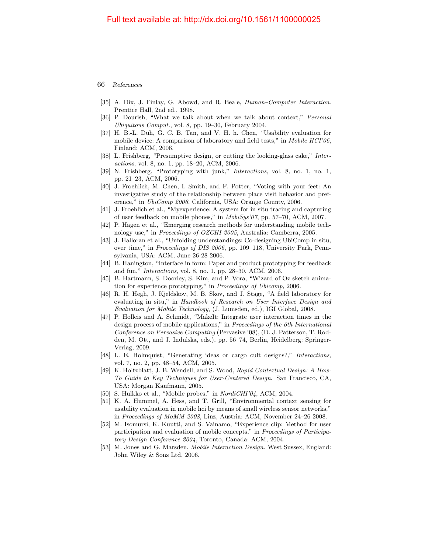- [35] A. Dix, J. Finlay, G. Abowd, and R. Beale, *Human–Computer Interaction*. Prentice Hall, 2nd ed., 1998.
- [36] P. Dourish, "What we talk about when we talk about context," Personal Ubiquitous Comput., vol. 8, pp. 19–30, February 2004.
- [37] H. B.-L. Duh, G. C. B. Tan, and V. H. h. Chen, "Usability evaluation for mobile device: A comparison of laboratory and field tests," in Mobile HCI'06, Finland: ACM, 2006.
- [38] L. Frishberg, "Presumptive design, or cutting the looking-glass cake," Interactions, vol. 8, no. 1, pp. 18–20, ACM, 2006.
- [39] N. Frishberg, "Prototyping with junk," Interactions, vol. 8, no. 1, no. 1, pp. 21–23, ACM, 2006.
- [40] J. Froehlich, M. Chen, I. Smith, and F. Potter, "Voting with your feet: An investigative study of the relationship between place visit behavior and preference," in *UbiComp 2006*, California, USA: Orange County, 2006.
- [41] J. Froehlich et al., "Myexperience: A system for in situ tracing and capturing of user feedback on mobile phones," in MobiSys'07, pp. 57–70, ACM, 2007.
- [42] P. Hagen et al., "Emerging research methods for understanding mobile technology use," in Proceedings of OZCHI 2005, Australia: Camberra, 2005.
- [43] J. Halloran et al., "Unfolding understandings: Co-designing UbiComp in situ, over time," in Proceedings of DIS 2006, pp. 109–118, University Park, Pennsylvania, USA: ACM, June 26-28 2006.
- [44] B. Hanington, "Interface in form: Paper and product prototyping for feedback and fun," Interactions, vol. 8, no. 1, pp. 28–30, ACM, 2006.
- [45] B. Hartmann, S. Doorley, S. Kim, and P. Vora, "Wizard of Oz sketch animation for experience prototyping," in Proceedings of Ubicomp, 2006.
- [46] R. H. Hegh, J. Kjeldskov, M. B. Skov, and J. Stage, "A field laboratory for evaluating in situ," in Handbook of Research on User Interface Design and Evaluation for Mobile Technology, (J. Lumsden, ed.), IGI Global, 2008.
- [47] P. Holleis and A. Schmidt, "MakeIt: Integrate user interaction times in the design process of mobile applications," in Proceedings of the 6th International Conference on Pervasive Computing (Pervasive '08), (D. J. Patterson, T. Rodden, M. Ott, and J. Indulska, eds.), pp. 56–74, Berlin, Heidelberg: Springer-Verlag, 2009.
- [48] L. E. Holmquist, "Generating ideas or cargo cult designs?," Interactions, vol. 7, no. 2, pp. 48–54, ACM, 2005.
- [49] K. Holtzblatt, J. B. Wendell, and S. Wood, Rapid Contextual Design: A How-To Guide to Key Techniques for User-Centered Design. San Francisco, CA, USA: Morgan Kaufmann, 2005.
- [50] S. Hulkko et al., "Mobile probes," in *NordiCHI'04*, ACM, 2004.
- [51] K. A. Hummel, A. Hess, and T. Grill, "Environmental context sensing for usability evaluation in mobile hci by means of small wireless sensor networks," in Proceedings of MoMM 2008, Linz, Austria: ACM, November 24–26 2008.
- [52] M. Isomursi, K. Kuutti, and S. Vainamo, "Experience clip: Method for user participation and evaluation of mobile concepts," in Proceedings of Participatory Design Conference 2004, Toronto, Canada: ACM, 2004.
- [53] M. Jones and G. Marsden, Mobile Interaction Design. West Sussex, England: John Wiley & Sons Ltd, 2006.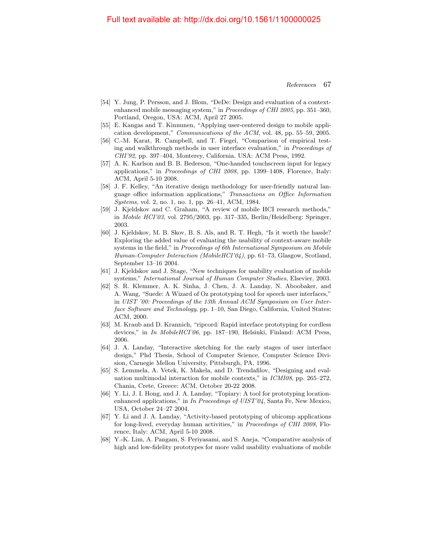- [54] Y. Jung, P. Persson, and J. Blom, "DeDe: Design and evaluation of a contextenhanced mobile messaging system," in Proceedings of CHI 2005, pp. 351–360, Portland, Oregon, USA: ACM, April 27 2005.
- [55] E. Kangas and T. Kinnunen, "Applying user-centered design to mobile application development," Communications of the ACM, vol. 48, pp. 55–59, 2005.
- [56] C.-M. Karat, R. Campbell, and T. Fiegel, "Comparison of empirical testing and walkthrough methods in user interface evaluation," in Proceedings of CHI'92, pp. 397–404, Monterey, California, USA: ACM Press, 1992.
- [57] A. K. Karlson and B. B. Bederson, "One-handed touchscreen input for legacy applications," in Proceedings of CHI 2008, pp. 1399–1408, Florence, Italy: ACM, April 5-10 2008.
- [58] J. F. Kelley, "An iterative design methodology for user-friendly natural language office information applications," Transactions on Office Information Systems, vol. 2, no. 1, no. 1, pp. 26–41, ACM, 1984.
- [59] J. Kjeldskov and C. Graham, "A review of mobile HCI research methods," in Mobile HCI'03, vol. 2795/2003, pp. 317–335, Berlin/Heidelberg: Springer, 2003.
- [60] J. Kjeldskov, M. B. Skov, B. S. Als, and R. T. Hegh, "Is it worth the hassle? Exploring the added value of evaluating the usability of context-aware mobile systems in the field," in *Proceedings of 6th International Symposium on Mobile* Human-Computer Interaction (MobileHCI'04), pp. 61–73, Glasgow, Scotland, September 13–16 2004.
- [61] J. Kjeldskov and J. Stage, "New techniques for usability evaluation of mobile systems," International Journal of Human Computer Studies, Elsevier, 2003.
- [62] S. R. Klemmer, A. K. Sinha, J. Chen, J. A. Landay, N. Aboobaker, and A. Wang, "Suede: A Wizard of Oz prototyping tool for speech user interfaces," in UIST '00: Proceedings of the 13th Annual ACM Symposium on User Interface Software and Technology, pp. 1–10, San Diego, California, United States: ACM, 2000.
- [63] M. Kraub and D. Krannich, "ripcord: Rapid interface prototyping for cordless devices," in In MobileHCI'06, pp. 187–190, Helsinki, Finland: ACM Press, 2006.
- [64] J. A. Landay, "Interactive sketching for the early stages of user interface design," Phd Thesis, School of Computer Science, Computer Science Division, Carnegie Mellon University, Pittsburgh, PA, 1996.
- [65] S. Lemmela, A. Vetek, K. Makela, and D. Trendafilov, "Designing and evaluation multimodal interaction for mobile contexts," in ICMI08, pp. 265–272, Chania, Crete, Greece: ACM, October 20-22 2008.
- [66] Y. Li, J. I. Hong, and J. A. Landay, "Topiary: A tool for prototyping locationenhanced applications," in In Proceedings of UIST'04, Santa Fe, New Mexico, USA, October 24–27 2004.
- [67] Y. Li and J. A. Landay, "Activity-based prototyping of ubicomp applications for long-lived, everyday human activities," in Proceedings of CHI 2008, Florence, Italy: ACM, April 5-10 2008.
- [68] Y.-K. Lim, A. Pangam, S. Periyasami, and S. Aneja, "Comparative analysis of high and low-fidelity prototypes for more valid usability evaluations of mobile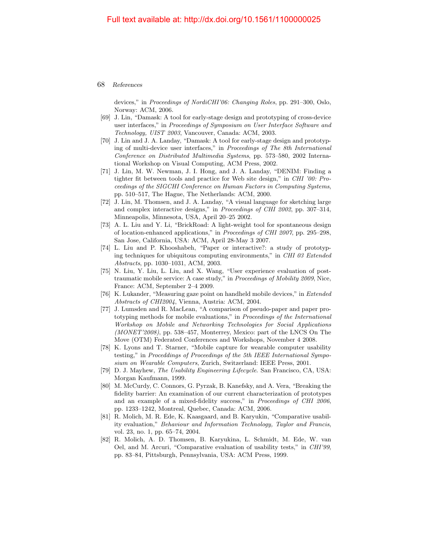devices," in Proceedings of NordiCHI'06: Changing Roles, pp. 291–300, Oslo, Norway: ACM, 2006.

- [69] J. Lin, "Damask: A tool for early-stage design and prototyping of cross-device user interfaces," in Proceedings of Symposium on User Interface Software and Technology, UIST 2003, Vancouver, Canada: ACM, 2003.
- [70] J. Lin and J. A. Landay, "Damask: A tool for early-stage design and prototyping of multi-device user interfaces," in Proceedings of The 8th International Conference on Distributed Multimedia Systems, pp. 573–580, 2002 International Workshop on Visual Computing, ACM Press, 2002.
- [71] J. Lin, M. W. Newman, J. I. Hong, and J. A. Landay, "DENIM: Finding a tighter fit between tools and practice for Web site design," in CHI '00: Proceedings of the SIGCHI Conference on Human Factors in Computing Systems, pp. 510–517, The Hague, The Netherlands: ACM, 2000.
- [72] J. Lin, M. Thomsen, and J. A. Landay, "A visual language for sketching large and complex interactive designs," in Proceedings of CHI 2002, pp. 307–314, Minneapolis, Minnesota, USA, April 20–25 2002.
- [73] A. L. Liu and Y. Li, "BrickRoad: A light-weight tool for spontaneous design of location-enhanced applications," in Proceedings of CHI 2007, pp. 295–298, San Jose, California, USA: ACM, April 28-May 3 2007.
- [74] L. Liu and P. Khooshabeh, "Paper or interactive?: a study of prototyping techniques for ubiquitous computing environments," in CHI 03 Extended Abstracts, pp. 1030–1031, ACM, 2003.
- [75] N. Liu, Y. Liu, L. Liu, and X. Wang, "User experience evaluation of posttraumatic mobile service: A case study," in Proceedings of Mobility 2009, Nice, France: ACM, September 2–4 2009.
- [76] K. Lukander, "Measuring gaze point on handheld mobile devices," in Extended Abstracts of CHI2004, Vienna, Austria: ACM, 2004.
- [77] J. Lumsden and R. MacLean, "A comparison of pseudo-paper and paper prototyping methods for mobile evaluations," in Proceedings of the International Workshop on Mobile and Networking Technologies for Social Applications (MONET'2008), pp. 538–457, Monterrey, Mexico: part of the LNCS On The Move (OTM) Federated Conferences and Workshops, November 4 2008.
- [78] K. Lyons and T. Starner, "Mobile capture for wearable computer usability testing," in Proceddings of Proceedings of the 5th IEEE International Symposium on Wearable Computers, Zurich, Switzerland: IEEE Press, 2001.
- [79] D. J. Mayhew, The Usability Engineering Lifecycle. San Francisco, CA, USA: Morgan Kaufmann, 1999.
- [80] M. McCurdy, C. Connors, G. Pyrzak, B. Kanefsky, and A. Vera, "Breaking the fidelity barrier: An examination of our current characterization of prototypes and an example of a mixed-fidelity success," in Proceedings of CHI 2006, pp. 1233–1242, Montreal, Quebec, Canada: ACM, 2006.
- [81] R. Molich, M. R. Ede, K. Kaasgaard, and B. Karyukin, "Comparative usability evaluation," Behaviour and Information Technology, Taylor and Francis, vol. 23, no. 1, pp. 65–74, 2004.
- [82] R. Molich, A. D. Thomsen, B. Karyukina, L. Schmidt, M. Ede, W. van Oel, and M. Arcuri, "Comparative evaluation of usability tests," in CHI'99, pp. 83–84, Pittsburgh, Pennsylvania, USA: ACM Press, 1999.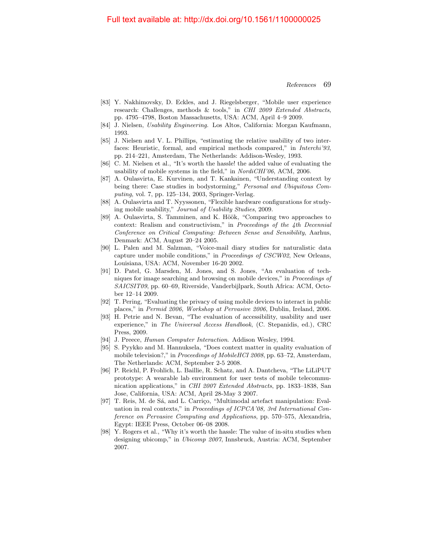- [83] Y. Nakhimovsky, D. Eckles, and J. Riegelsberger, "Mobile user experience research: Challenges, methods & tools," in CHI 2009 Extended Abstracts, pp. 4795–4798, Boston Massachusetts, USA: ACM, April 4–9 2009.
- [84] J. Nielsen, Usability Engineering. Los Altos, California: Morgan Kaufmann, 1993.
- [85] J. Nielsen and V. L. Phillips, "estimating the relative usability of two interfaces: Heuristic, formal, and empirical methods compared," in Interchi'93, pp. 214–221, Amsterdam, The Netherlands: Addison-Wesley, 1993.
- [86] C. M. Nielsen et al., "It's worth the hassle! the added value of evaluating the usability of mobile systems in the field," in *NordiCHI'06*, ACM, 2006.
- [87] A. Oulasvirta, E. Kurvinen, and T. Kankainen, "Understanding context by being there: Case studies in bodystorming," Personal and Ubiquitous Computing, vol. 7, pp. 125–134, 2003, Springer-Verlag.
- [88] A. Oulasvirta and T. Nyyssonen, "Flexible hardware configurations for studying mobile usability," Journal of Usability Studies, 2009.
- [89] A. Oulasvirta, S. Tamminen, and K. Höök, "Comparing two approaches to context: Realism and constructivism," in Proceedings of the 4th Decennial Conference on Critical Computing: Between Sense and Sensibility, Aarhus, Denmark: ACM, August 20–24 2005.
- [90] L. Palen and M. Salzman, "Voice-mail diary studies for naturalistic data capture under mobile conditions," in Proceedings of CSCW02, New Orleans, Louisiana, USA: ACM, November 16-20 2002.
- [91] D. Patel, G. Marsden, M. Jones, and S. Jones, "An evaluation of techniques for image searching and browsing on mobile devices," in Proceedings of SAICSIT09, pp. 60–69, Riverside, Vanderbijlpark, South Africa: ACM, October 12–14 2009.
- [92] T. Pering, "Evaluating the privacy of using mobile devices to interact in public places," in Permid 2006, Workshop at Pervasive 2006, Dublin, Ireland, 2006.
- [93] H. Petrie and N. Bevan, "The evaluation of accessibility, usability and user experience," in The Universal Access Handbook, (C. Stepanidis, ed.), CRC Press, 2009.
- [94] J. Preece, *Human Computer Interaction*. Addison Wesley, 1994.
- [95] S. Pyykko and M. Hannuksela, "Does context matter in quality evaluation of mobile television?," in Proceedings of MobileHCI 2008, pp. 63-72, Amsterdam, The Netherlands: ACM, September 2-5 2008.
- [96] P. Reichl, P. Frohlich, L. Baillie, R. Schatz, and A. Dantcheva, "The LiLiPUT prototype: A wearable lab environment for user tests of mobile telecommunication applications," in CHI 2007 Extended Abstracts, pp. 1833–1838, San Jose, California, USA: ACM, April 28-May 3 2007.
- [97] T. Reis, M. de Sá, and L. Carriço, "Multimodal artefact manipulation: Evaluation in real contexts," in Proceedings of ICPCA'08, 3rd International Conference on Pervasive Computing and Applications, pp. 570–575, Alexandria, Egypt: IEEE Press, October 06–08 2008.
- [98] Y. Rogers et al., "Why it's worth the hassle: The value of in-situ studies when designing ubicomp," in Ubicomp 2007, Innsbruck, Austria: ACM, September 2007.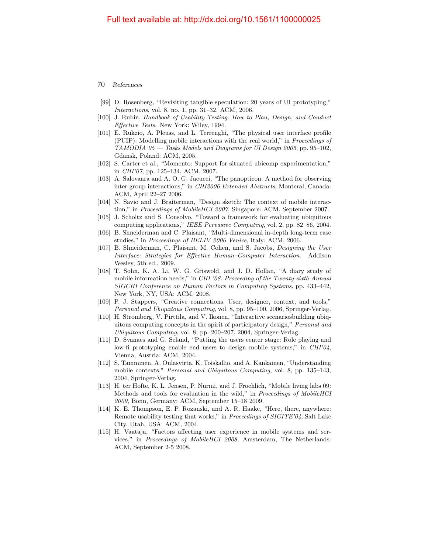- [99] D. Rosenberg, "Revisiting tangible speculation: 20 years of UI prototyping," Interactions, vol. 8, no. 1, pp. 31–32, ACM, 2006.
- [100] J. Rubin, Handbook of Usability Testing: How to Plan, Design, and Conduct Effective Tests. New York: Wiley, 1994.
- [101] E. Rukzio, A. Pleuss, and L. Terrenghi, "The physical user interface profile (PUIP): Modelling mobile interactions with the real world," in Proceedings of  $TAMODIA'05 - Tasks\ Models\ and\ Diagrams\ for\ UI\ Design\ 2005, pp. 95-102,$ Gdansk, Poland: ACM, 2005.
- [102] S. Carter et al., "Momento: Support for situated ubicomp experimentation," in CHI'07, pp. 125–134, ACM, 2007.
- [103] A. Salovaara and A. O. G. Jacucci, "The panopticon: A method for observing inter-group interactions," in CHI2006 Extended Abstracts, Monteral, Canada: ACM, April 22–27 2006.
- [104] N. Savio and J. Braiterman, "Design sketch: The context of mobile interaction," in Proceedings of MobileHCI 2007, Singapore: ACM, September 2007.
- [105] J. Scholtz and S. Consolvo, "Toward a framework for evaluating ubiquitous computing applications," IEEE Pervasive Computing, vol. 2, pp. 82–86, 2004.
- [106] B. Shneiderman and C. Plaisant, "Multi-dimensional in-depth long-term case studies," in Proceedings of BELIV 2006 Venice, Italy: ACM, 2006.
- [107] B. Shneiderman, C. Plaisant, M. Cohen, and S. Jacobs, Designing the User Interface: Strategies for Effective Human–Computer Interaction. Addison Wesley, 5th ed., 2009.
- [108] T. Sohn, K. A. Li, W. G. Griswold, and J. D. Hollan, "A diary study of mobile information needs," in CHI '08: Proceeding of the Twenty-sixth Annual SIGCHI Conference on Human Factors in Computing Systems, pp. 433–442, New York, NY, USA: ACM, 2008.
- [109] P. J. Stappers, "Creative connections: User, designer, context, and tools," Personal and Ubiquitous Computing, vol. 8, pp. 95–100, 2006, Springer-Verlag.
- [110] H. Stromberg, V. Pirttila, and V. Ikonen, "Interactive scenariosbuilding ubiquitous computing concepts in the spirit of participatory design," Personal and Ubiquitous Computing, vol. 8, pp. 200–207, 2004, Springer-Verlag.
- [111] D. Svanaes and G. Seland, "Putting the users center stage: Role playing and low-fi prototyping enable end users to design mobile systems," in CHI'04, Vienna, Austria: ACM, 2004.
- [112] S. Tamminen, A. Oulasvirta, K. Toiskallio, and A. Kankainen, "Understanding mobile contexts," Personal and Ubiquitous Computing, vol. 8, pp. 135–143, 2004, Springer-Verlag.
- [113] H. ter Hofte, K. L. Jensen, P. Nurmi, and J. Froehlich, "Mobile living labs 09: Methods and tools for evaluation in the wild," in *Proceedings of MobileHCI* 2009, Bonn, Germany: ACM, September 15–18 2009.
- [114] K. E. Thompson, E. P. Rozanski, and A. R. Haake, "Here, there, anywhere: Remote usability testing that works," in Proceedings of SIGITE'04, Salt Lake City, Utah, USA: ACM, 2004.
- [115] H. Vaataja, "Factors affecting user experience in mobile systems and services," in Proceedings of MobileHCI 2008, Amsterdam, The Netherlands: ACM, September 2-5 2008.